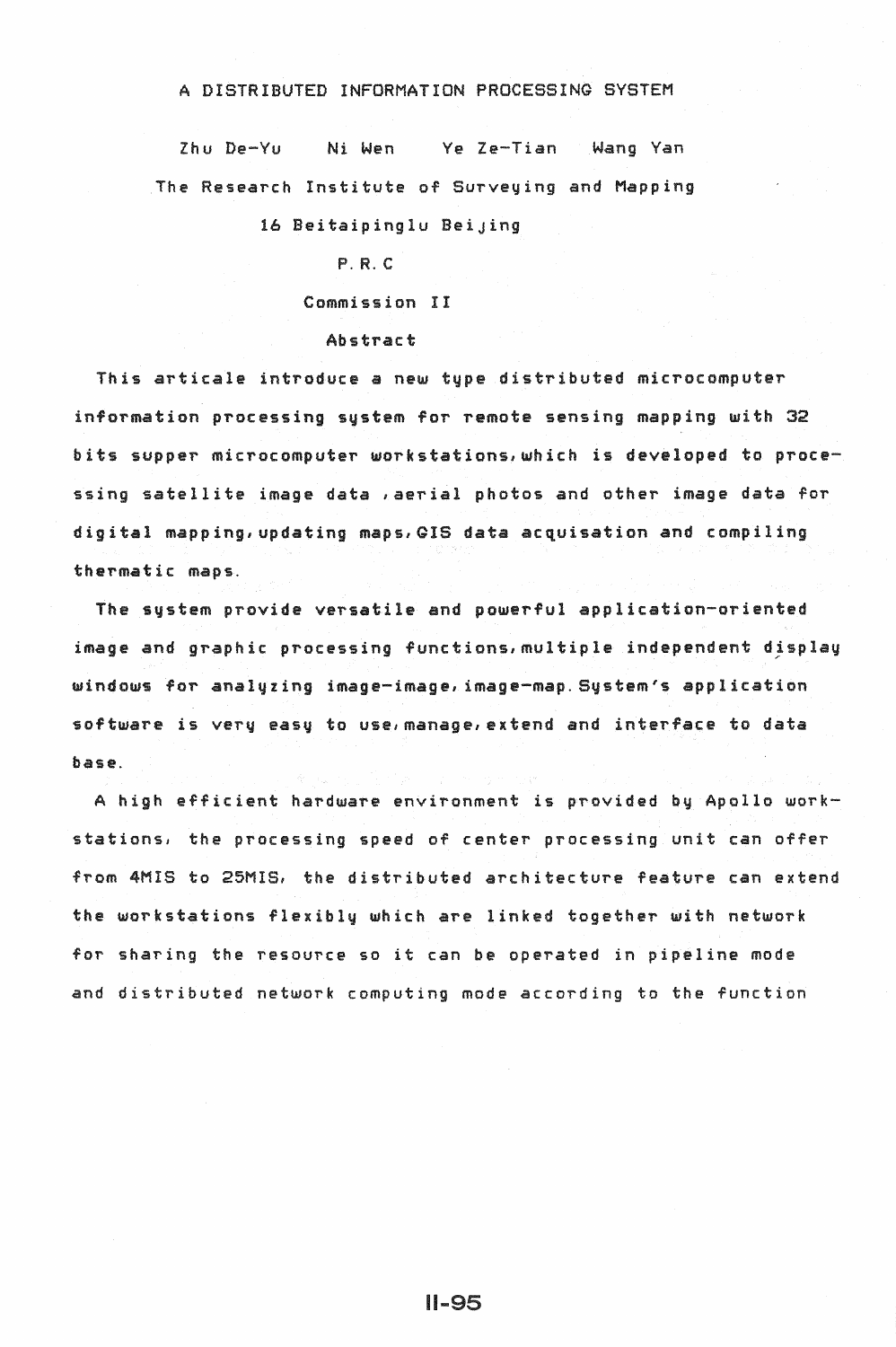### A DISTRIBUTED INFORMATION PROCESSING SYSTEM

Zhu De-Yu Ni Wen Ye Ze-Tian Wang Van The Research Institute of Surveying and Mapping

16 Beitaipinglu BeiJing

# P.R.C

Commission II

#### Abstract

This articale introduce a new type distributed microcomputer information processing system for remote sensing mapping with 32 bits supper microcomputer workstations,which is developed to processing satellite image data ,aerial photos and other image data for digital mapping, updating maps, GIS data acquisation and compiling thermatic maps.

The system provide versatile and powerful application-oriented image and graphic processing functions,multiple independent djsplay windows for analyzing image-image, image-map. System's application software is very easy to use,manage,extend and interface to data base.

A high efficient hardware environment is provided by Apollo workstations~ the processing speed of center processing unit can offer from 4MIS to 25MIS, the distributed architecture feature can extend the workstations flexibly which are linked together with network for sharing the resource so it can be operated in pipeline mode and distributed network computing mode according to the function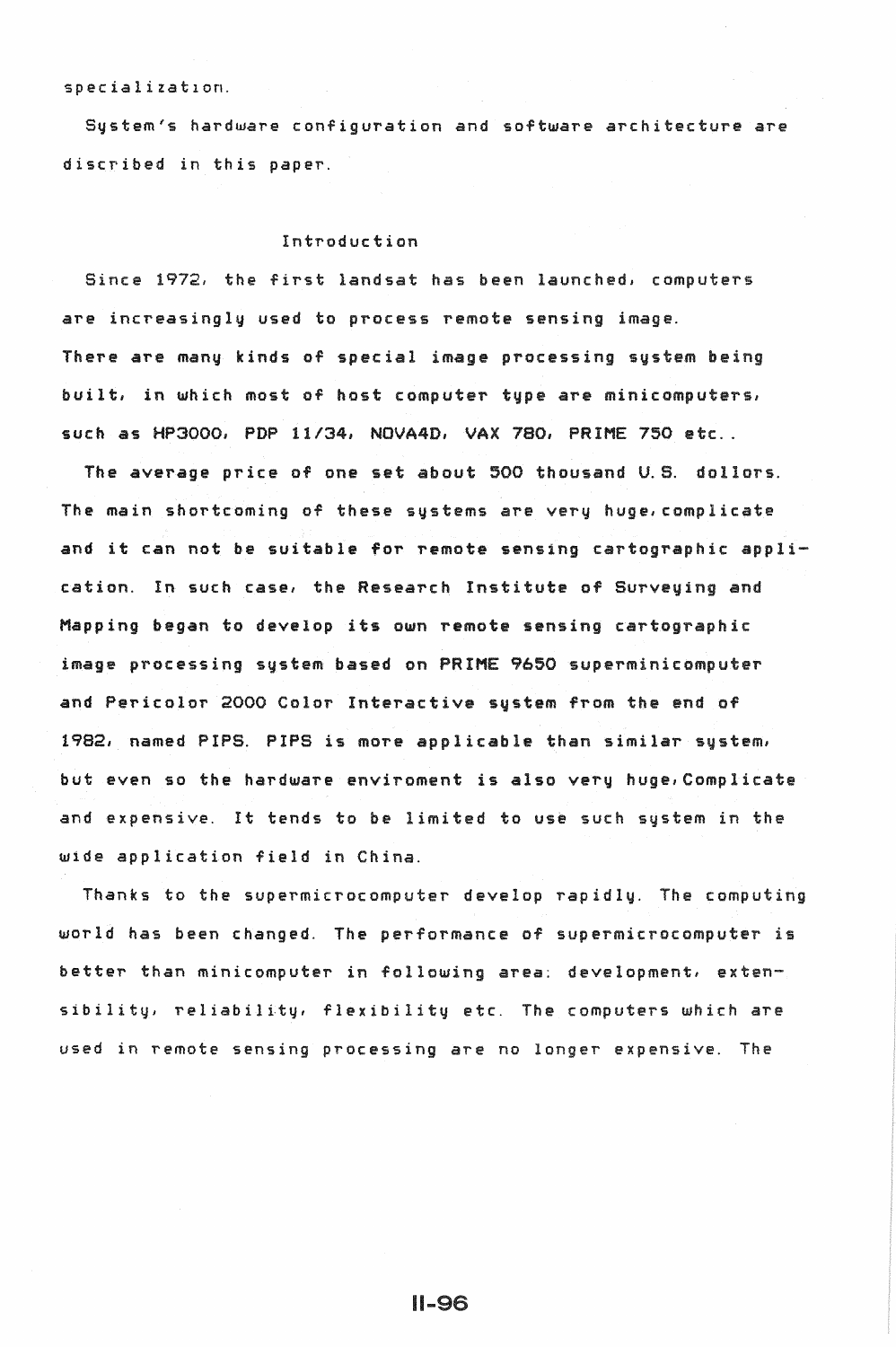specializat1on.

System's hardware configuration and software architecture *are*  discribed in this paper.

# Introduction

Since 1972, the first landsat has been launched, computers are increasingly used to process remote sensing image. There are many kinds of special image processing systam being built, in which most of host computer type are minicomputers, such as HP3000, PDP 11/34, NOVA4D, VAX 780, PRIME 750 etc..

The average price of one set about 500 thousand U.S. dollors. The main shortcoming of these systems are very huge,complicate and it can not be suitable for remote sensing cartographic application. In such case, the Research Institute of Surveying and Mapping began to develop its own remote sensing cartographic image processing system based on PRIME 9650 superminicomputer and Pericolor 2000 Color Interactive system from the end of 1982, named PIPS. PIPS is more applicable than similar system, but even so the hardware enviroment is also very huge,Complicate and expensive. It tends to be limited to use such system in the wide application field in China.

Thanks to the supermicrocomputer develop rapidly. The computing world has been changed. The performance of supermicrocomputer is better than minicomputer in following area: development, extensibility, reliability, flexibility etc. The computers which are used in remote sensing processing are no longer expensive. The

 $II-96$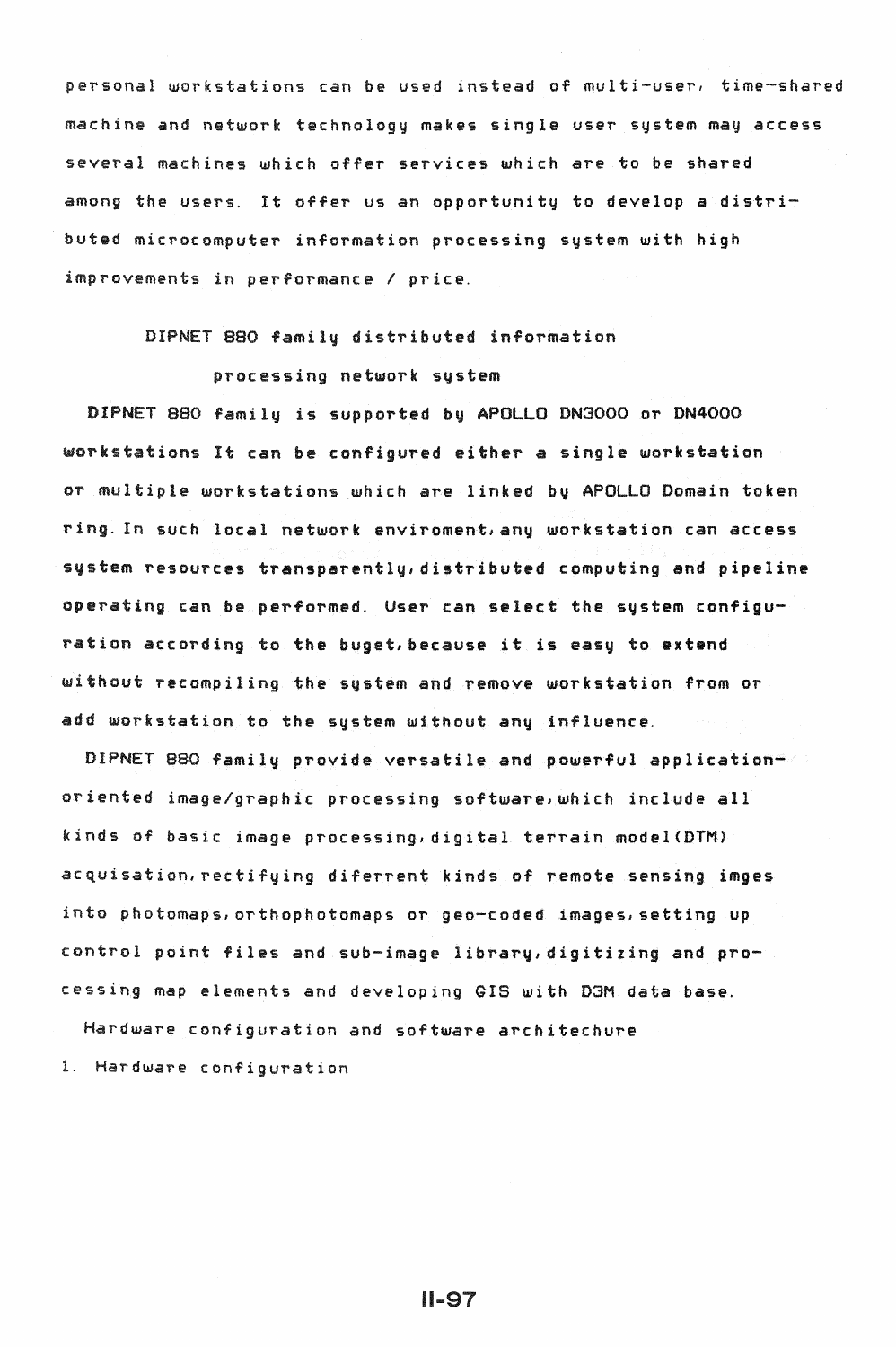personal workstations can be used instead of multi-user, time-shared machine and network technology makes single user system may access several machines which offer services which *are* to be shared among the users. It offer us an opportunity to develop *a* distributed microcomputer information processing system with high improvements in performance I price.

# DIPNET 880 family distributed information

# processing network system

DIPNET 880 family is supported by APOLLO DN3000 or DN4000 workstations It can be configured either a single workstation or multiple workstations which are linked by APOLLO Domain token ring. In such local network enviroment,any workstation can access system resources transparently,distributed computing and pipeline operating can be performed. User can select the system configuration according to the buget,because it is easy to extend without recompiling the system and remove workstation from or add workstation to the system without any influence.

DIPNET 880 family provide versatile and powerful applicationoriented image/graphic processing software,which include all kinds of basic image processing,digital terrain model<DTM> acquisation,rectifying diferrent kinds of remote sensing imges into photomaps,orthophotomaps or gee-coded images,setting up control point files and sub-image library,digitizing and processing map elements and developing GIS with D3M data base.

Hardware configuration and software architechure

1. Hardware configuration

11-97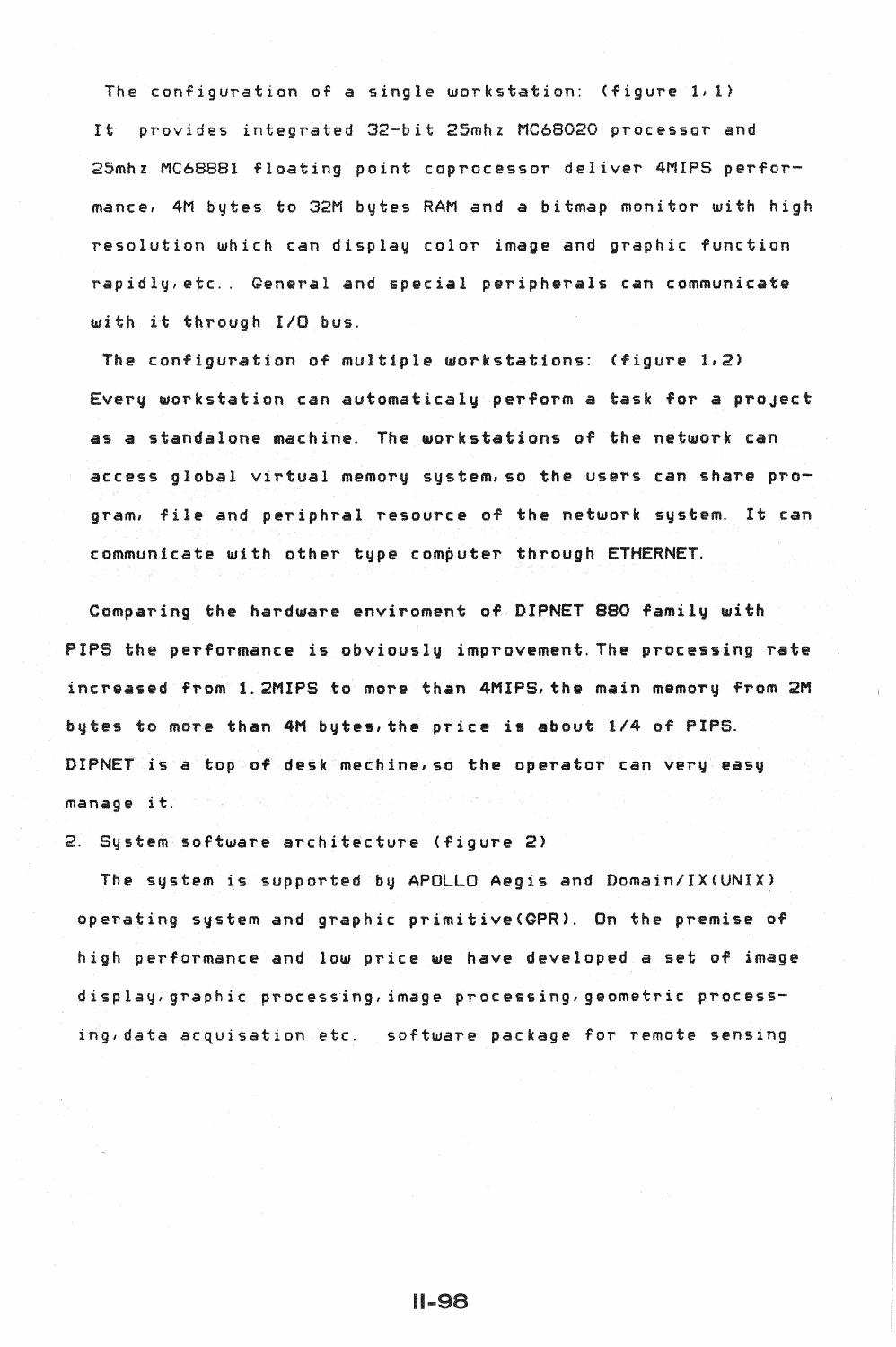The configuration of *a* single workstation: (figure 1, 1) It provides integrated 32-bit 25mhz MC68020 processor and 25mhz MC68881 floating point coprocessor deliver 4MIPS performance, 4M bytes to 32M bytes RAM and *a* bitmap monitor with high resolution which can display color image and graphic function rapidly, etc .. General and special peripherals can communicate with it through I/0 bus.

The configuration of multiple workstations: (figure 1,2) Every workstation can automaticaly perform a task for a proJect as *a* standalone machine. The workstations of the network can  $\overline{a}$  ccess global virtual memory system, so the users can share program, file and periphral resource of the network system. It can communicate with other type computer through ETHERNET.

Comparing the hardware enviroment of DIPNET 880 family with PIPS the performance is obviously improvement. The processing rate increased from 1.2MIPS to more than 4MIPS,the main memory from 2M bytes to more than 4M bytes,the price is about 1/4 of PIPS. DIPNET is *a* top of desk mechine,so the operator can very easy manage it.

2. System software architecture (figure 2>

The system is supported by APOLLO Aegis and Domain/IX<UNIX) operating system and graphic primitive<GPR>. On the premise of high performance and low price *we* have developed a set of image display, graphic processing, image processing, geometric processing,data acquisation etc. software package for remote sensing

**II-98**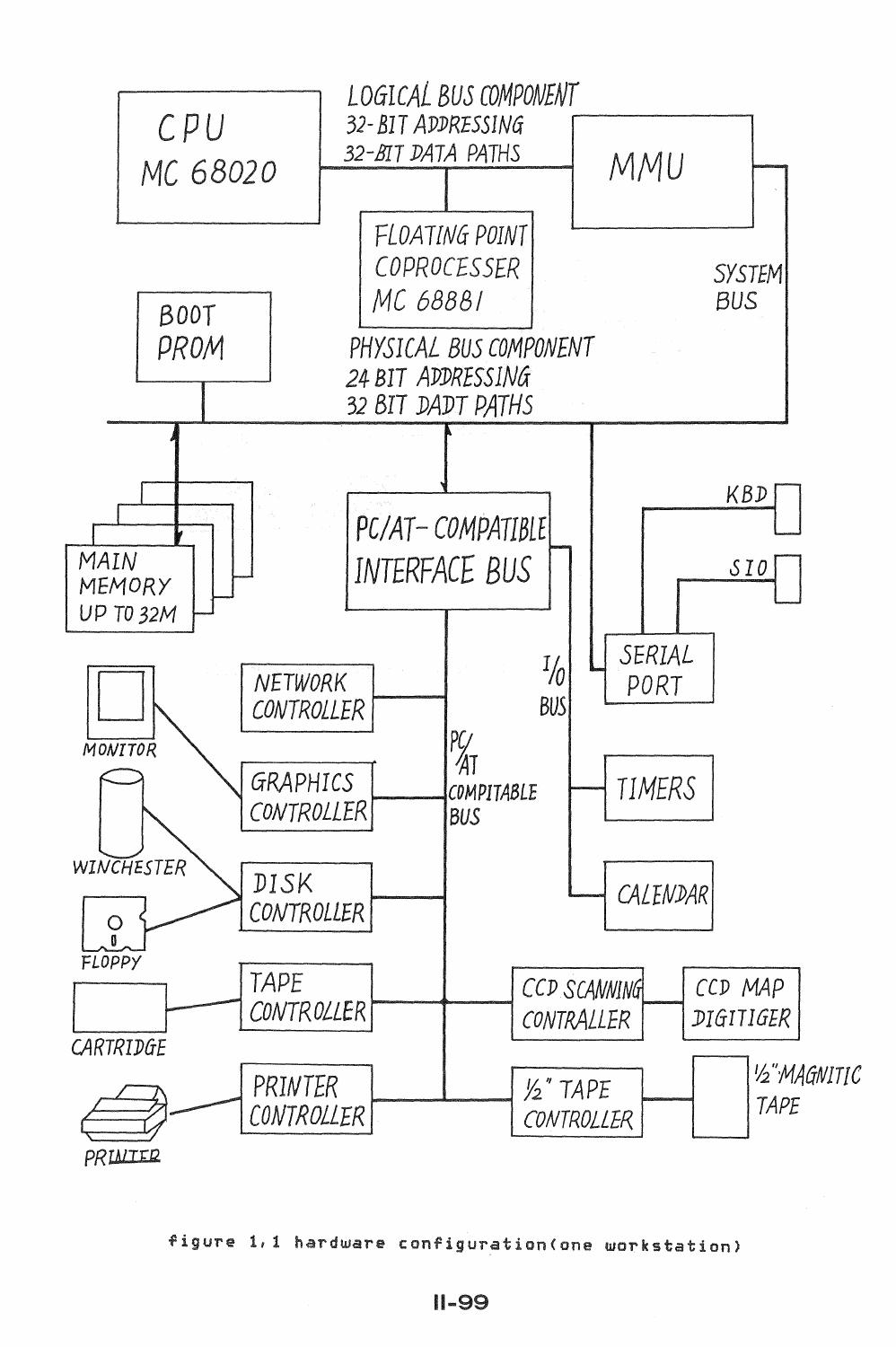

figure 1,1 hardware configuration(one workstation)

 $11 - 99$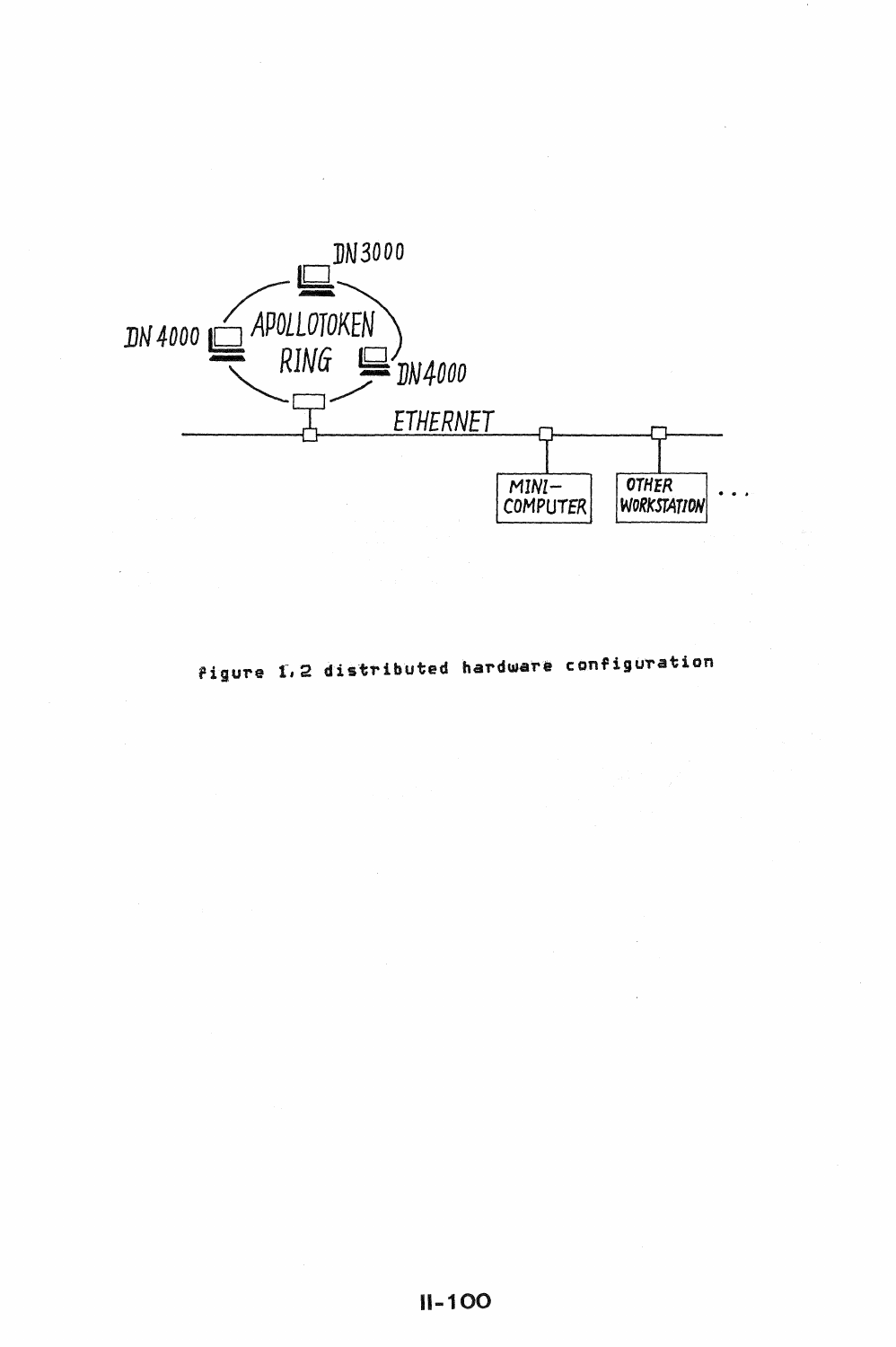

figure 1,2 distributed hardware configuration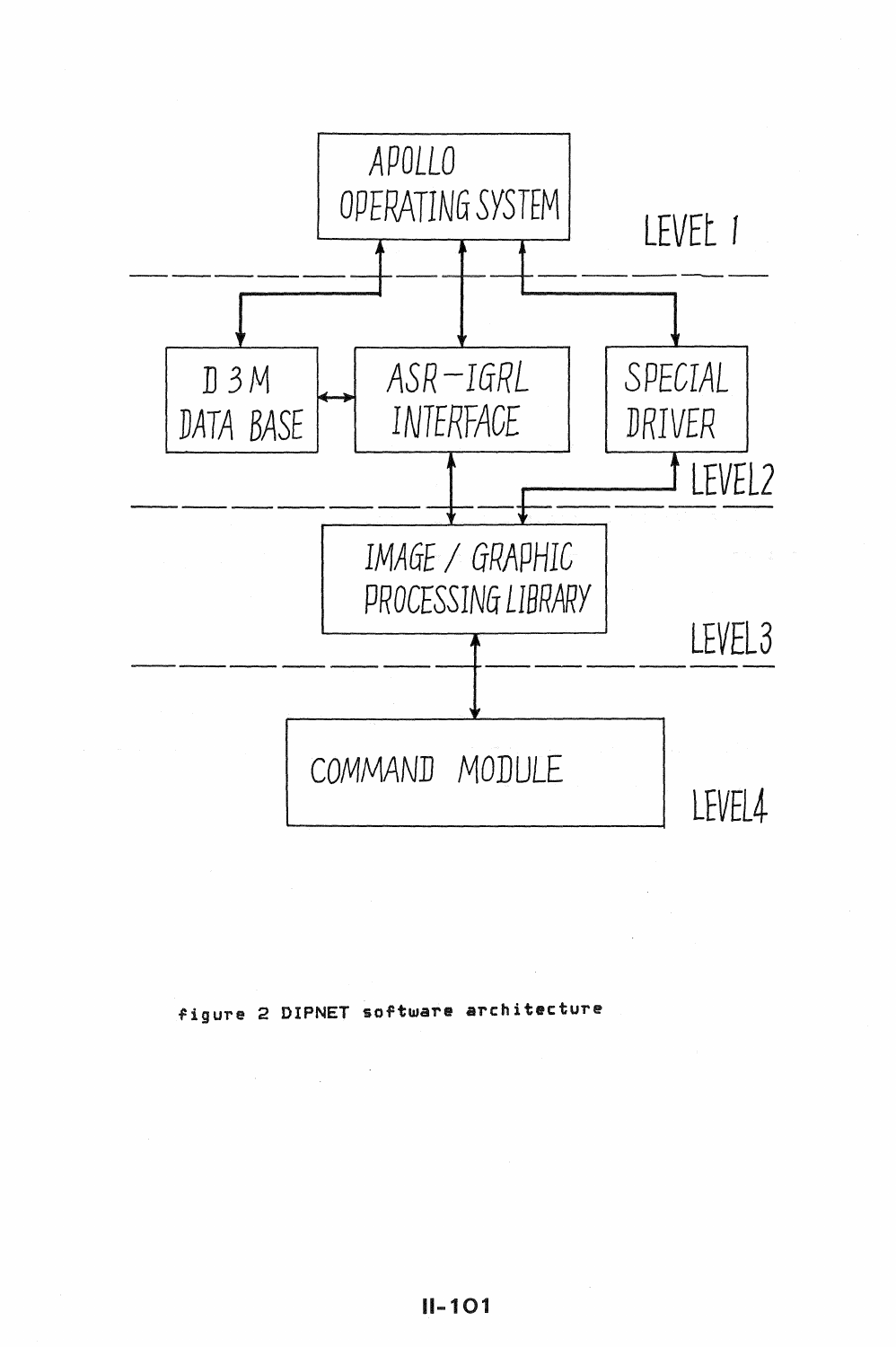

# figure 2 DIPNET software architecture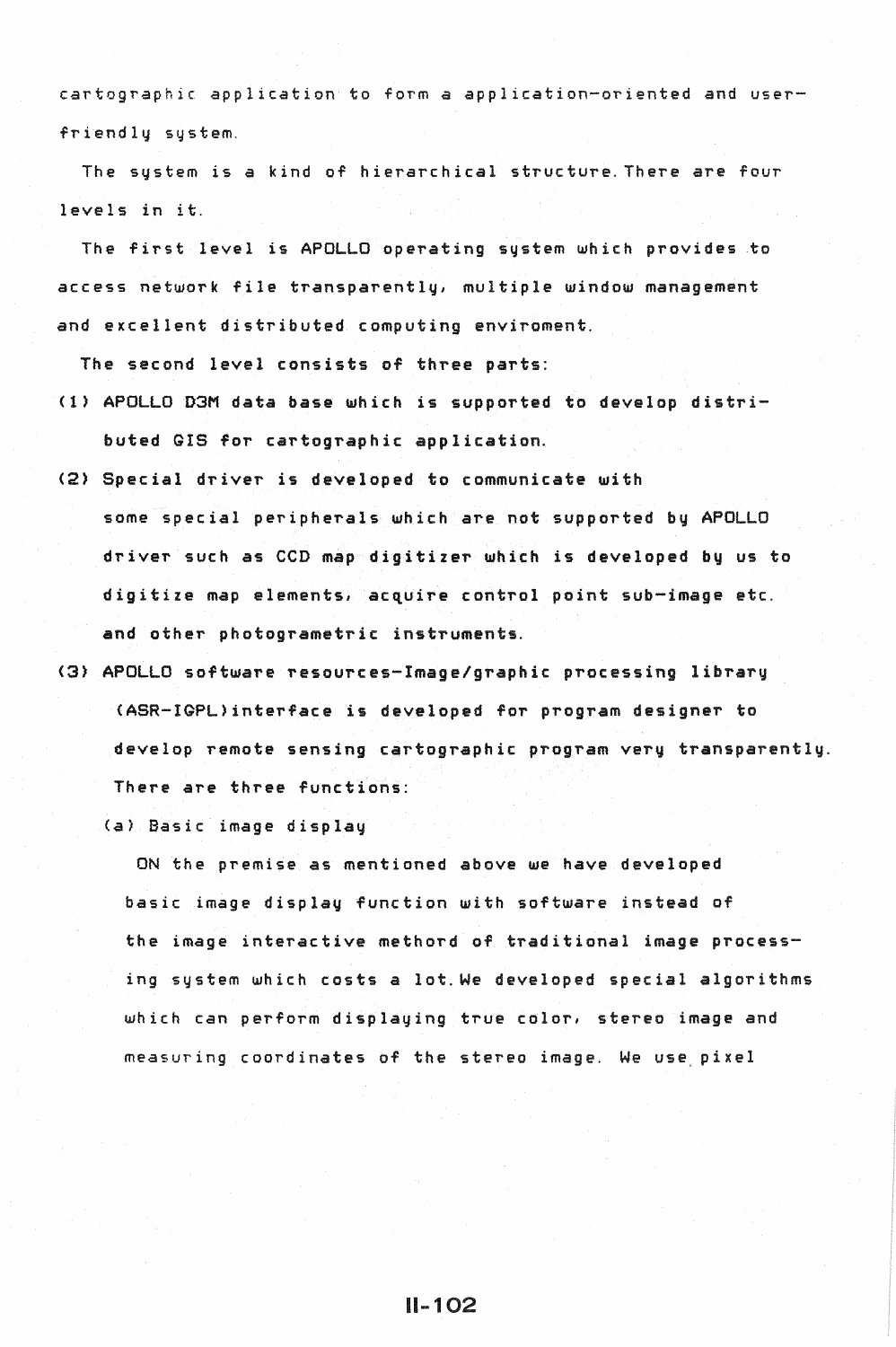cartographic application to form *a* application-oriented and userfriendly system.

The system is *a* kind of hierarchical structure.There are four levels in it.

The first level is APOLLO operating system which provides to access network file transparently, multiple window management and excellent distributed computing enviroment.

The second level consists of three parts:

- (1) APOLLO D3M data base which is supported to develop distributed GIS for cartographic application.
- <2) Special driver is developed to communicate with some special peripherals which *are* not supported by APOLLO driver such as CCD map digitizer which is developed by us to digitize map elements, acquire control point sub-image etc. and other photogrametric instruments.
- (3) APOLLO software resources-Image/graphic processing library <ASR-IGPL)interface is developed for program designer to develop remote sensing cartographic program very transparently. There are three functions:

(a) Basic image display

ON the premise as mentioned above we have developed basic image display function with software instead of the image interactive methord of traditional image processing system which costs a lot.We developed special algorithms which can perform displaying true color, stereo image and measuring coordinates of the stereo image. We use, pixel

11-102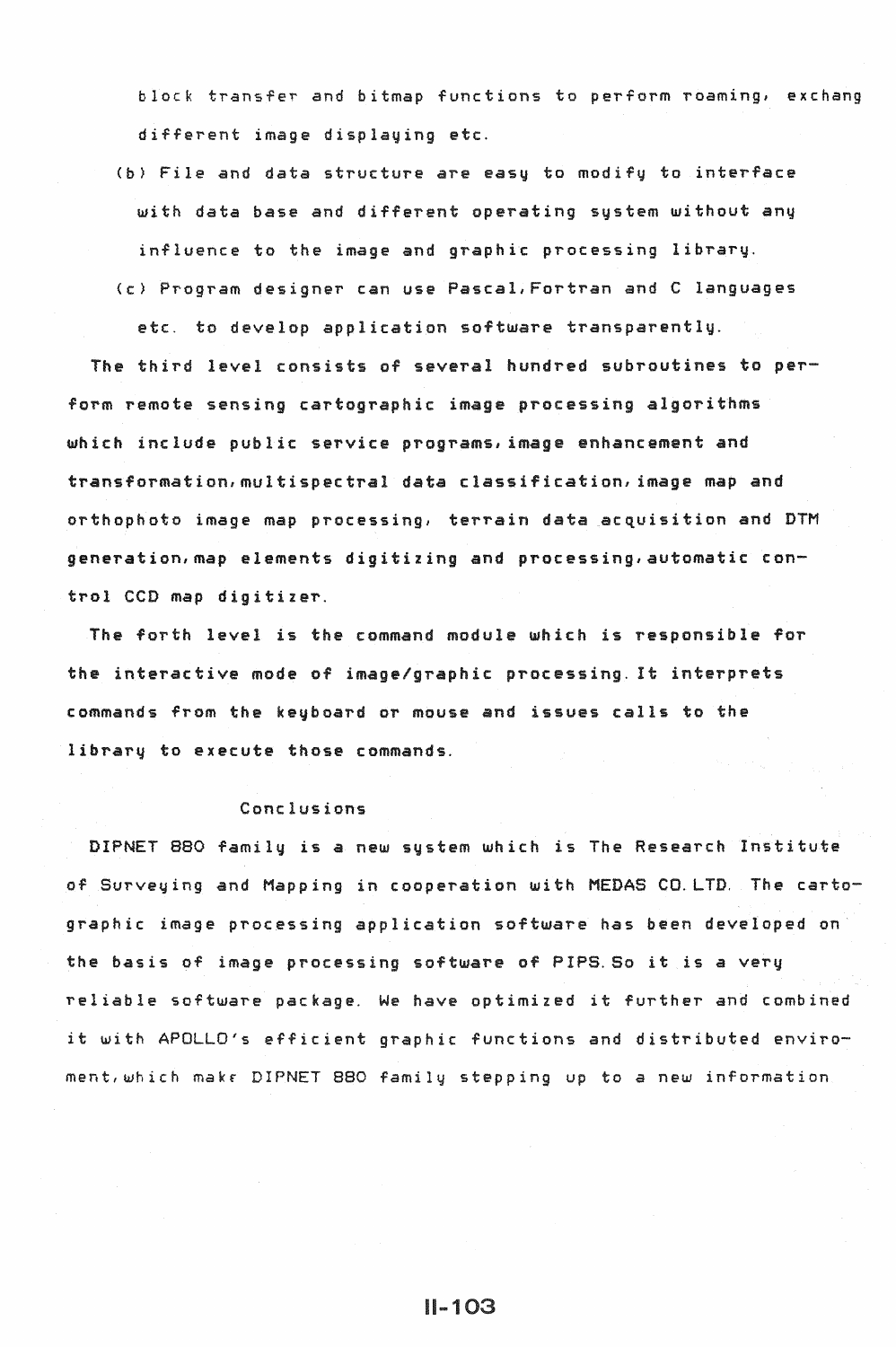block transfer and bitmap functions to perform roaming, exchang different image displaying etc.

(b) File and data structure *are* easy to modify to interface with data base and different operating system without any influence to the image and graphic processing library. (c) Program designer can use Pascal,Fortran and C languages

etc. to develop application software transparently.

The third level consists of several hundred subroutines to perform remote sensing cartographic image processing algorithms which include public service programs, image enhancement and transformation, multispectral data classification, image map and orthophoto image map processing, terrain data acquisition and DTM generation,map elements digitizing and processing,automatic control CCD map digitizer.

The forth level is the command module which is responsible for the interactive mode of image/graphic processing. It interprets commands from the keyboard or mouse and issues calls to the library to execute those commands.

# Conclusions

DIPNET 880 family is *a* new system which is The Research Institute of Surveying and Mapping in cooperation with MEDAS CO.LTD. The cartographic image processing application software has been developed on the basis of image processing software of PIPS.So it is a very reliable software package. We *have* optimized it further and combined it with APOLLO's efficient graphic functions and distributed enviroment,which makr DIPNET 880 family stepping up to a new information